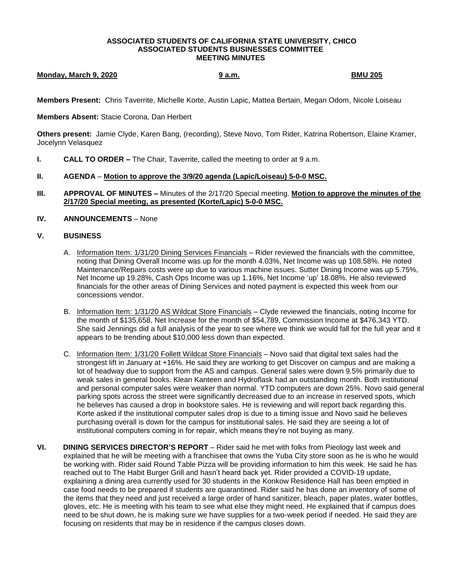## **ASSOCIATED STUDENTS OF CALIFORNIA STATE UNIVERSITY, CHICO ASSOCIATED STUDENTS BUSINESSES COMMITTEE MEETING MINUTES**

## **Monday, March 9, 2020 9 a.m. BMU 205**

**Members Present:** Chris Taverrite, Michelle Korte, Austin Lapic, Mattea Bertain, Megan Odom, Nicole Loiseau

**Members Absent:** Stacie Corona, Dan Herbert

**Others present:** Jamie Clyde, Karen Bang, (recording), Steve Novo, Tom Rider, Katrina Robertson, Elaine Kramer, Jocelynn Velasquez

- **I. CALL TO ORDER –** The Chair, Taverrite, called the meeting to order at 9 a.m.
- **II. AGENDA Motion to approve the 3/9/20 agenda (Lapic/Loiseau) 5-0-0 MSC.**
- **III. APPROVAL OF MINUTES –** Minutes of the 2/17/20 Special meeting. **Motion to approve the minutes of the 2/17/20 Special meeting, as presented (Korte/Lapic) 5-0-0 MSC.**
- **IV. ANNOUNCEMENTS** None

## **V. BUSINESS**

- A. Information Item: 1/31/20 Dining Services Financials Rider reviewed the financials with the committee, noting that Dining Overall Income was up for the month 4.03%, Net Income was up 108.58%. He noted Maintenance/Repairs costs were up due to various machine issues. Sutter Dining Income was up 5.75%, Net Income up 19.28%, Cash Ops Income was up 1.16%, Net Income 'up' 18.08%. He also reviewed financials for the other areas of Dining Services and noted payment is expected this week from our concessions vendor.
- B. Information Item: 1/31/20 AS Wildcat Store Financials Clyde reviewed the financials, noting Income for the month of \$135,658, Net Increase for the month of \$54,789, Commission Income at \$476,343 YTD. She said Jennings did a full analysis of the year to see where we think we would fall for the full year and it appears to be trending about \$10,000 less down than expected.
- C. Information Item: 1/31/20 Follett Wildcat Store Financials Novo said that digital text sales had the strongest lift in January at +16%. He said they are working to get Discover on campus and are making a lot of headway due to support from the AS and campus. General sales were down 9.5% primarily due to weak sales in general books. Klean Kanteen and Hydroflask had an outstanding month. Both institutional and personal computer sales were weaker than normal. YTD computers are down 25%. Novo said general parking spots across the street were significantly decreased due to an increase in reserved spots, which he believes has caused a drop in bookstore sales. He is reviewing and will report back regarding this. Korte asked if the institutional computer sales drop is due to a timing issue and Novo said he believes purchasing overall is down for the campus for institutional sales. He said they are seeing a lot of institutional computers coming in for repair, which means they're not buying as many.
- **VI. DINING SERVICES DIRECTOR'S REPORT** Rider said he met with folks from Pieology last week and explained that he will be meeting with a franchisee that owns the Yuba City store soon as he is who he would be working with. Rider said Round Table Pizza will be providing information to him this week. He said he has reached out to The Habit Burger Grill and hasn't heard back yet. Rider provided a COVID-19 update, explaining a dining area currently used for 30 students in the Konkow Residence Hall has been emptied in case food needs to be prepared if students are quarantined. Rider said he has done an inventory of some of the items that they need and just received a large order of hand sanitizer, bleach, paper plates, water bottles, gloves, etc. He is meeting with his team to see what else they might need. He explained that if campus does need to be shut down, he is making sure we have supplies for a two-week period if needed. He said they are focusing on residents that may be in residence if the campus closes down.